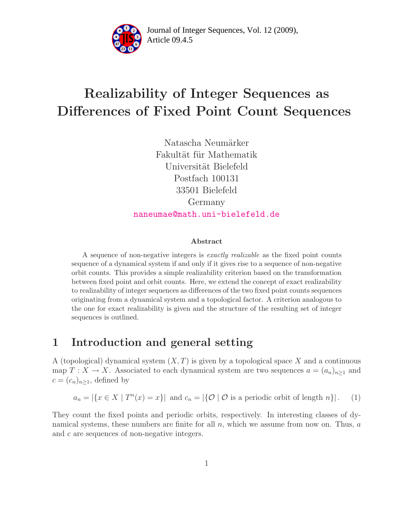

Article 09.4.5 **<sup>2</sup>** Journal of Integer Sequences, Vol. 12 (2009),

# Realizability of Integer Sequences as Differences of Fixed Point Count Sequences

Natascha Neumärker Fakultät für Mathematik Universität Bielefeld Postfach 100131 33501 Bielefeld Germany [naneumae@math.uni-bielefeld.de](mailto:naneumae@math.uni-bielefeld.de)

#### Abstract

A sequence of non-negative integers is exactly realizable as the fixed point counts sequence of a dynamical system if and only if it gives rise to a sequence of non-negative orbit counts. This provides a simple realizability criterion based on the transformation between fixed point and orbit counts. Here, we extend the concept of exact realizability to realizability of integer sequences as differences of the two fixed point counts sequences originating from a dynamical system and a topological factor. A criterion analogous to the one for exact realizability is given and the structure of the resulting set of integer sequences is outlined.

# 1 Introduction and general setting

A (topological) dynamical system  $(X, T)$  is given by a topological space X and a continuous map  $T : X \to X$ . Associated to each dynamical system are two sequences  $a = (a_n)_{n \geq 1}$  and  $c = (c_n)_{n \geq 1}$ , defined by

$$
a_n = |\{x \in X \mid T^n(x) = x\}| \text{ and } c_n = |\{0 \mid 0 \text{ is a periodic orbit of length } n\}|. \tag{1}
$$

They count the fixed points and periodic orbits, respectively. In interesting classes of dynamical systems, these numbers are finite for all  $n$ , which we assume from now on. Thus,  $a$ and c are sequences of non-negative integers.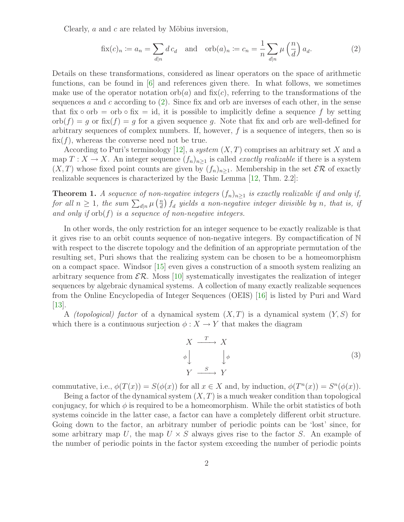<span id="page-1-0"></span>Clearly,  $a$  and  $c$  are related by Möbius inversion,

$$
\text{fix}(c)_n := a_n = \sum_{d|n} d c_d \quad \text{and} \quad \text{orb}(a)_n := c_n = \frac{1}{n} \sum_{d|n} \mu\left(\frac{n}{d}\right) a_d. \tag{2}
$$

Details on these transformations, considered as linear operators on the space of arithmetic functions, can be found in [\[6\]](#page-6-0) and references given there. In what follows, we sometimes make use of the operator notation  $orb(a)$  and  $fix(c)$ , referring to the transformations of the sequences a and c according to  $(2)$ . Since fix and orb are inverses of each other, in the sense that fix  $\circ$  orb = orb  $\circ$  fix = id, it is possible to implicitly define a sequence f by setting  $\text{orb}(f) = g$  or  $\text{fix}(f) = g$  for a given sequence g. Note that fix and orb are well-defined for arbitrary sequences of complex numbers. If, however,  $f$  is a sequence of integers, then so is  $fix(f)$ , whereas the converse need not be true.

According to Puri's terminology [\[12\]](#page-7-0), a system  $(X, T)$  comprises an arbitrary set X and a map  $T: X \to X$ . An integer sequence  $(f_n)_{n\geq 1}$  is called *exactly realizable* if there is a system  $(X, T)$  whose fixed point counts are given by  $(f_n)_{n\geq 1}$ . Membership in the set  $\mathcal{ER}$  of exactly realizable sequences is characterized by the Basic Lemma [\[12,](#page-7-0) Thm. 2.2]:

<span id="page-1-1"></span>**Theorem 1.** A sequence of non-negative integers  $(f_n)_{n\geq 1}$  is exactly realizable if and only if, for all  $n \geq 1$ , the sum  $\sum_{d|n}^{n} \mu\left(\frac{n}{d}\right)$  $\frac{d}{d}$   $\int d$  yields a non-negative integer divisible by n, that is, if and only if  $orb(f)$  is a sequence of non-negative integers.

In other words, the only restriction for an integer sequence to be exactly realizable is that it gives rise to an orbit counts sequence of non-negative integers. By compactification of N with respect to the discrete topology and the definition of an appropriate permutation of the resulting set, Puri shows that the realizing system can be chosen to be a homeomorphism on a compact space. Windsor [\[15\]](#page-7-1) even gives a construction of a smooth system realizing an arbitrary sequence from  $\mathcal{ER}$ . Moss [\[10\]](#page-7-2) systematically investigates the realization of integer sequences by algebraic dynamical systems. A collection of many exactly realizable sequences from the Online Encyclopedia of Integer Sequences (OEIS) [\[16\]](#page-7-3) is listed by Puri and Ward [\[13\]](#page-7-4).

A *(topological) factor* of a dynamical system  $(X, T)$  is a dynamical system  $(Y, S)$  for which there is a continuous surjection  $\phi: X \to Y$  that makes the diagram

<span id="page-1-2"></span>
$$
X \xrightarrow{T} X
$$
  
\n
$$
\phi \downarrow \qquad \qquad \downarrow \phi
$$
  
\n
$$
Y \xrightarrow{S} Y
$$
  
\n(3)

commutative, i.e.,  $\phi(T(x)) = S(\phi(x))$  for all  $x \in X$  and, by induction,  $\phi(T^n(x)) = S^n(\phi(x))$ .

Being a factor of the dynamical system  $(X, T)$  is a much weaker condition than topological conjugacy, for which  $\phi$  is required to be a homeomorphism. While the orbit statistics of both systems coincide in the latter case, a factor can have a completely different orbit structure. Going down to the factor, an arbitrary number of periodic points can be 'lost' since, for some arbitrary map U, the map  $U \times S$  always gives rise to the factor S. An example of the number of periodic points in the factor system exceeding the number of periodic points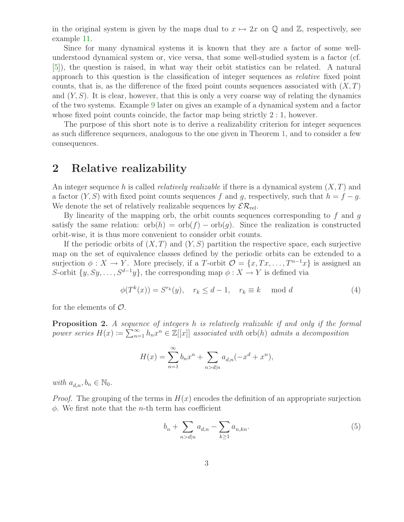in the original system is given by the maps dual to  $x \mapsto 2x$  on Q and Z, respectively, see example [11.](#page-6-1)

Since for many dynamical systems it is known that they are a factor of some wellunderstood dynamical system or, vice versa, that some well-studied system is a factor (cf. [\[5\]](#page-6-2)), the question is raised, in what way their orbit statistics can be related. A natural approach to this question is the classification of integer sequences as relative fixed point counts, that is, as the difference of the fixed point counts sequences associated with  $(X, T)$ and  $(Y, S)$ . It is clear, however, that this is only a very coarse way of relating the dynamics of the two systems. Example [9](#page-4-0) later on gives an example of a dynamical system and a factor whose fixed point counts coincide, the factor map being strictly  $2:1$ , however.

The purpose of this short note is to derive a realizability criterion for integer sequences as such difference sequences, analogous to the one given in Theorem [1,](#page-1-1) and to consider a few consequences.

### 2 Relative realizability

An integer sequence h is called *relatively realizable* if there is a dynamical system  $(X, T)$  and a factor  $(Y, S)$  with fixed point counts sequences f and g, respectively, such that  $h = f - g$ . We denote the set of relatively realizable sequences by  $\mathcal{ER}_{rel}$ .

By linearity of the mapping orb, the orbit counts sequences corresponding to  $f$  and  $g$ satisfy the same relation:  $orb(h) = orb(f) - orb(g)$ . Since the realization is constructed orbit-wise, it is thus more convenient to consider orbit counts.

If the periodic orbits of  $(X, T)$  and  $(Y, S)$  partition the respective space, each surjective map on the set of equivalence classes defined by the periodic orbits can be extended to a surjection  $\phi: X \to Y$ . More precisely, if a T-orbit  $\mathcal{O} = \{x, Tx, \ldots, T^{n-1}x\}$  is assigned an S-orbit  $\{y, Sy, \ldots, S^{d-1}y\}$ , the corresponding map  $\phi: X \to Y$  is defined via

$$
\phi(T^k(x)) = S^{r_k}(y), \quad r_k \le d - 1, \quad r_k \equiv k \mod d \tag{4}
$$

<span id="page-2-2"></span><span id="page-2-1"></span>for the elements of  $\mathcal{O}$ .

Proposition 2. A sequence of integers h is relatively realizable if and only if the formal power series  $H(x) \coloneqq \sum_{n=1}^{\infty} h_n x^n \in \mathbb{Z}[[x]]$  associated with  $\text{orb}(h)$  admits a decomposition

$$
H(x) = \sum_{n=1}^{\infty} b_n x^n + \sum_{n > d|n} a_{d,n} (-x^d + x^n),
$$

with  $a_{d,n}, b_n \in \mathbb{N}_0$ .

*Proof.* The grouping of the terms in  $H(x)$  encodes the definition of an appropriate surjection  $\phi$ . We first note that the *n*-th term has coefficient

<span id="page-2-0"></span>
$$
b_n + \sum_{n > d|n} a_{d,n} - \sum_{k \ge 1} a_{n,kn}.\tag{5}
$$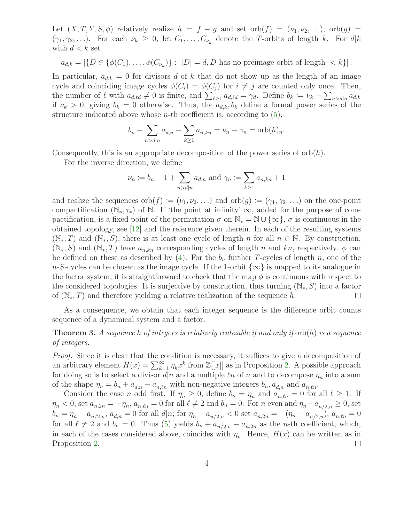Let  $(X, T, Y, S, \phi)$  relatively realize  $h = f - g$  and set orb $(f) = (\nu_1, \nu_2, \ldots), \text{ orb}(g)$  $(\gamma_1, \gamma_2, \ldots)$ . For each  $\nu_k \geq 0$ , let  $C_1, \ldots, C_{\nu_k}$  denote the T-orbits of length k. For  $d|k$ with  $d < k$  set

$$
a_{d,k} = |\{D \in \{\phi(C_1), \ldots, \phi(C_{\nu_k})\} : |D| = d, D \text{ has no preimage orbit of length } < k\}|.
$$

In particular,  $a_{d,k} = 0$  for divisors d of k that do not show up as the length of an image cycle and coinciding image cycles  $\phi(C_i) = \phi(C_j)$  for  $i \neq j$  are counted only once. Then, the number of  $\ell$  with  $a_{d,\ell d} \neq 0$  is finite, and  $\sum_{\ell \geq 1} a_{d,\ell d} = \gamma_d$ . Define  $b_k := \nu_k - \sum_{n > d|n} a_{d,k}$ if  $\nu_k > 0$ , giving  $b_k = 0$  otherwise. Thus, the  $a_{d,k}, b_k$  define a formal power series of the structure indicated above whose *n*-th coefficient is, according to  $(5)$ ,

$$
b_n + \sum_{n > d|n} a_{d,n} - \sum_{k \ge 1} a_{n,kn} = \nu_n - \gamma_n = \text{orb}(h)_n.
$$

Consequently, this is an appropriate decomposition of the power series of  $\text{orb}(h)$ .

For the inverse direction, we define

$$
\nu_n := b_n + 1 + \sum_{n > d|n} a_{d,n}
$$
 and  $\gamma_n := \sum_{k \ge 1} a_{n,kn} + 1$ 

and realize the sequences orb $(f) := (\nu_1, \nu_2, \ldots)$  and orb $(g) := (\gamma_1, \gamma_2, \ldots)$  on the one-point compactification ( $\mathbb{N}_*, \tau_*$ ) of  $\mathbb{N}$ . If 'the point at infinity'  $\infty$ , added for the purpose of compactification, is a fixed point of the permutation  $\sigma$  on  $\mathbb{N}_* = \mathbb{N} \cup {\infty}$ ,  $\sigma$  is continuous in the obtained topology, see [\[12\]](#page-7-0) and the reference given therein. In each of the resulting systems  $(N_*,T)$  and  $(N_*,S)$ , there is at least one cycle of length n for all  $n \in \mathbb{N}$ . By construction,  $(N_*, S)$  and  $(N_*, T)$  have  $a_{n,kn}$  corresponding cycles of length n and kn, respectively.  $\phi$  can be defined on these as described by [\(4\)](#page-2-1). For the  $b_n$  further T-cycles of length n, one of the n-S-cycles can be chosen as the image cycle. If the 1-orbit  $\{\infty\}$  is mapped to its analogue in the factor system, it is straightforward to check that the map  $\phi$  is continuous with respect to the considered topologies. It is surjective by construction, thus turning  $(N_*, S)$  into a factor of  $(N_*,T)$  and therefore yielding a relative realization of the sequence h.  $\Box$ 

<span id="page-3-0"></span>As a consequence, we obtain that each integer sequence is the difference orbit counts sequence of a dynamical system and a factor.

**Theorem 3.** A sequence h of integers is relatively realizable if and only if  $\text{orb}(h)$  is a sequence of integers.

Proof. Since it is clear that the condition is necessary, it suffices to give a decomposition of an arbitrary element  $H(x) = \sum_{k=1}^{\infty} \eta_k x^k$  from  $\mathbb{Z}[[x]]$  as in Proposition [2.](#page-2-2) A possible approach for doing so is to select a divisor  $d|n$  and a multiple  $\ell n$  of n and to decompose  $\eta_n$  into a sum of the shape  $\eta_n = b_n + a_{d,n} - a_{n,\ell n}$  with non-negative integers  $b_n, a_{d,n}$  and  $a_{n,\ell n}$ .

Consider the case *n* odd first. If  $\eta_n \geq 0$ , define  $b_n = \eta_n$  and  $a_{n,\ell n} = 0$  for all  $\ell \geq 1$ . If  $\eta_n < 0$ , set  $a_{n,2n} = -\eta_n$ ,  $a_{n,\ell n} = 0$  for all  $\ell \neq 2$  and  $b_n = 0$ . For n even and  $\eta_n - a_{n/2,n} \ge 0$ , set  $b_n = \eta_n - a_{n/2,n}, a_{d,n} = 0$  for all  $d|n$ ; for  $\eta_n - a_{n/2,n} < 0$  set  $a_{n,2n} = -(\eta_n - a_{n/2,n})$ ,  $a_{n,\ell n} = 0$ for all  $\ell \neq 2$  and  $b_n = 0$ . Thus [\(5\)](#page-2-0) yields  $b_n + a_{n/2,n} - a_{n,2n}$  as the *n*-th coefficient, which, in each of the cases considered above, coincides with  $\eta_n$ . Hence,  $H(x)$  can be written as in Proposition [2.](#page-2-2)  $\Box$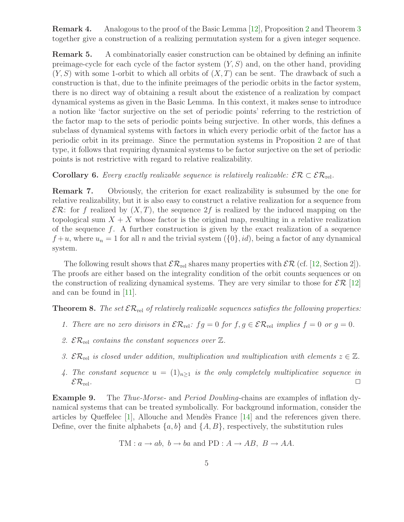Remark 4. Analogous to the proof of the Basic Lemma [\[12\]](#page-7-0), Proposition [2](#page-2-2) and Theorem [3](#page-3-0) together give a construction of a realizing permutation system for a given integer sequence.

Remark 5. A combinatorially easier construction can be obtained by defining an infinite preimage-cycle for each cycle of the factor system  $(Y, S)$  and, on the other hand, providing  $(Y, S)$  with some 1-orbit to which all orbits of  $(X, T)$  can be sent. The drawback of such a construction is that, due to the infinite preimages of the periodic orbits in the factor system, there is no direct way of obtaining a result about the existence of a realization by compact dynamical systems as given in the Basic Lemma. In this context, it makes sense to introduce a notion like 'factor surjective on the set of periodic points' referring to the restriction of the factor map to the sets of periodic points being surjective. In other words, this defines a subclass of dynamical systems with factors in which every periodic orbit of the factor has a periodic orbit in its preimage. Since the permutation systems in Proposition [2](#page-2-2) are of that type, it follows that requiring dynamical systems to be factor surjective on the set of periodic points is not restrictive with regard to relative realizability.

Corollary 6. Every exactly realizable sequence is relatively realizable:  $\mathcal{ER} \subset \mathcal{ER}_{rel}$ .

Remark 7. Obviously, the criterion for exact realizability is subsumed by the one for relative realizability, but it is also easy to construct a relative realization for a sequence from  $\mathcal{ER}$ : for f realized by  $(X, T)$ , the sequence  $2f$  is realized by the induced mapping on the topological sum  $X + X$  whose factor is the original map, resulting in a relative realization of the sequence  $f$ . A further construction is given by the exact realization of a sequence  $f+u$ , where  $u_n = 1$  for all n and the trivial system  $({0}, id)$ , being a factor of any dynamical system.

The following result shows that  $\mathcal{ER}_{rel}$  shares many properties with  $\mathcal{ER}$  (cf. [\[12,](#page-7-0) Section 2]). The proofs are either based on the integrality condition of the orbit counts sequences or on the construction of realizing dynamical systems. They are very similar to those for  $\mathcal{ER}$  [\[12\]](#page-7-0) and can be found in [\[11\]](#page-7-5).

**Theorem 8.** The set  $\mathcal{ER}_{rel}$  of relatively realizable sequences satisfies the following properties:

- 1. There are no zero divisors in  $\mathcal{ER}_{rel}: fg = 0$  for  $f, g \in \mathcal{ER}_{rel}$  implies  $f = 0$  or  $g = 0$ .
- 2.  $\mathcal{ER}_{rel}$  contains the constant sequences over  $\mathbb{Z}$ .
- 3.  $\mathcal{ER}_{rel}$  is closed under addition, multiplication und multiplication with elements  $z \in \mathbb{Z}$ .
- 4. The constant sequence  $u = (1)_{n>1}$  is the only completely multiplicative sequence in  $\mathcal{ER}_{rel}$ .

<span id="page-4-0"></span>Example 9. The Thue-Morse- and Period Doubling-chains are examples of inflation dynamical systems that can be treated symbolically. For background information, consider the articles by Queffelec  $[1]$ , Allouche and Mendès France  $[14]$  and the references given there. Define, over the finite alphabets  $\{a, b\}$  and  $\{A, B\}$ , respectively, the substitution rules

TM: 
$$
a \rightarrow ab
$$
,  $b \rightarrow ba$  and PD:  $A \rightarrow AB$ ,  $B \rightarrow AA$ .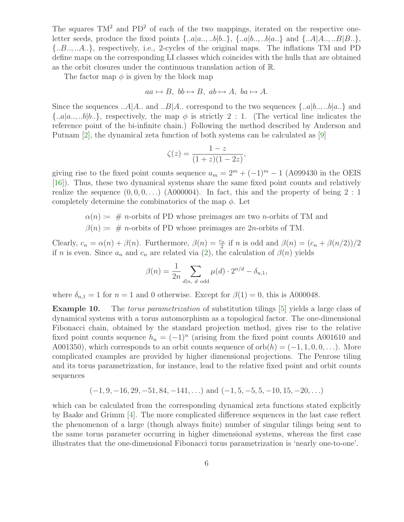The squares  $TM^2$  and  $PD^2$  of each of the two mappings, iterated on the respective oneletter seeds, produce the fixed points  $\{..a|a...,b|b..\}$ ,  $\{..a|b...,b|a..\}$  and  $\{..A|A...,B|B..\}$ , {..B.., ..A..}, respectively, i.e., 2-cycles of the original maps. The inflations TM and PD define maps on the corresponding LI classes which coincides with the hulls that are obtained as the orbit closures under the continuous translation action of R.

The factor map  $\phi$  is given by the block map

$$
aa \mapsto B, \; bb \mapsto B, \; ab \mapsto A, \; ba \mapsto A.
$$

Since the sequences  $\ldots A|A$ .. and  $\ldots B|A$ .. correspond to the two sequences  $\{\ldots a|b\ldots,b|a\ldots\}$  and  $\{..a|a...,b|b...\}$ , respectively, the map  $\phi$  is strictly 2 : 1. (The vertical line indicates the reference point of the bi-infinite chain.) Following the method described by Anderson and Putnam [\[2\]](#page-6-4), the dynamical zeta function of both systems can be calculated as [\[9\]](#page-7-7)

$$
\zeta(z) = \frac{1-z}{(1+z)(1-2z)},
$$

giving rise to the fixed point counts sequence  $a_m = 2^m + (-1)^m - 1$  (A099430 in the OEIS [\[16\]](#page-7-3)). Thus, these two dynamical systems share the same fixed point counts and relatively realize the sequence  $(0, 0, 0, ...)$  (A000004). In fact, this and the property of being  $2:1$ completely determine the combinatorics of the map  $\phi$ . Let

- $\alpha(n) := \text{# } n$ -orbits of PD whose preimages are two *n*-orbits of TM and
- $\beta(n) := \text{# } n$ -orbits of PD whose preimages are 2n-orbits of TM.

Clearly,  $c_n = \alpha(n) + \beta(n)$ . Furthermore,  $\beta(n) = \frac{c_n}{2}$  if n is odd and  $\beta(n) = (c_n + \beta(n/2))/2$ if n is even. Since  $a_n$  and  $c_n$  are related via [\(2\)](#page-1-0), the calculation of  $\beta(n)$  yields

$$
\beta(n) = \frac{1}{2n} \sum_{d|n, d \text{ odd}} \mu(d) \cdot 2^{n/d} - \delta_{n,1},
$$

where  $\delta_{n,1} = 1$  for  $n = 1$  and 0 otherwise. Except for  $\beta(1) = 0$ , this is A000048.

Example 10. The *torus parametrization* of substitution tilings [\[5\]](#page-6-2) yields a large class of dynamical systems with a torus automorphism as a topological factor. The one-dimensional Fibonacci chain, obtained by the standard projection method, gives rise to the relative fixed point counts sequence  $h_n = (-1)^n$  (arising from the fixed point counts A001610 and A001350), which corresponds to an orbit counts sequence of  $orb(h) = (-1, 1, 0, 0, \ldots)$ . More complicated examples are provided by higher dimensional projections. The Penrose tiling and its torus parametrization, for instance, lead to the relative fixed point and orbit counts sequences

$$
(-1, 9, -16, 29, -51, 84, -141, \ldots)
$$
 and  $(-1, 5, -5, 5, -10, 15, -20, \ldots)$ 

which can be calculated from the corresponding dynamical zeta functions stated explicitly by Baake and Grimm [\[4\]](#page-6-5). The more complicated difference sequences in the last case reflect the phenomenon of a large (though always finite) number of singular tilings being sent to the same torus parameter occurring in higher dimensional systems, whereas the first case illustrates that the one-dimensional Fibonacci torus parametrization is 'nearly one-to-one'.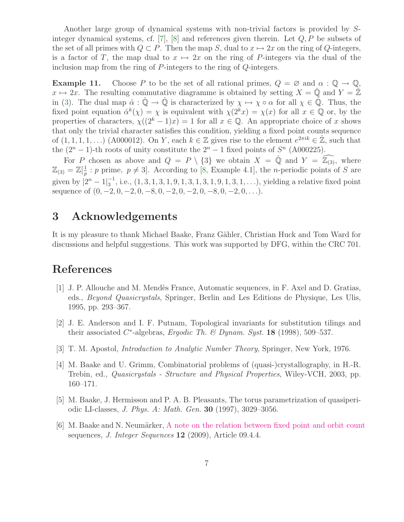Another large group of dynamical systems with non-trivial factors is provided by S-integer dynamical systems, cf. [\[7\]](#page-7-8), [\[8\]](#page-7-9) and references given therein. Let  $Q, P$  be subsets of the set of all primes with  $Q \subset P$ . Then the map S, dual to  $x \mapsto 2x$  on the ring of Q-integers, is a factor of T, the map dual to  $x \mapsto 2x$  on the ring of P-integers via the dual of the inclusion map from the ring of P-integers to the ring of Q-integers.

<span id="page-6-1"></span>**Example 11.** Choose P to be the set of all rational primes,  $Q = \emptyset$  and  $\alpha : \mathbb{Q} \to \mathbb{Q}$ ,  $x \mapsto 2x$ . The resulting commutative diagramme is obtained by setting  $X = \mathbb{Q}$  and  $Y = \mathbb{Z}$ in [\(3\)](#page-1-2). The dual map  $\hat{\alpha}: \hat{\mathbb{Q}} \to \hat{\mathbb{Q}}$  is characterized by  $\chi \mapsto \chi \circ \alpha$  for all  $\chi \in \hat{\mathbb{Q}}$ . Thus, the fixed point equation  $\hat{\alpha}^k(\chi) = \chi$  is equivalent with  $\chi(2^k x) = \chi(x)$  for all  $x \in \mathbb{Q}$  or, by the properties of characters,  $\chi((2^k-1)x) = 1$  for all  $x \in \mathbb{Q}$ . An appropriate choice of x shows that only the trivial character satisfies this condition, yielding a fixed point counts sequence of  $(1, 1, 1, 1, ...)$  (A000012). On Y, each  $k \in \mathbb{Z}$  gives rise to the element  $e^{2\pi i k} \in \mathbb{Z}$ , such that the  $(2^{n} - 1)$ -th roots of unity constitute the  $2^{n} - 1$  fixed points of  $S^{n}$  (A000225).

For P chosen as above and  $Q = P \setminus \{3\}$  we obtain  $X = \hat{Q}$  and  $Y = \widehat{\mathbb{Z}_{(3)}},$  where  $\mathbb{Z}_{(3)}=\mathbb{Z}[\frac{1}{n}$  $\frac{1}{p}$ : p prime,  $p \neq 3$ . According to [\[8,](#page-7-9) Example 4.1], the *n*-periodic points of S are given by  $|2^n - 1|_3^{-1}$  $\frac{1}{3}$ , i.e.,  $(1, 3, 1, 3, 1, 9, 1, 3, 1, 3, 1, 9, 1, 3, 1, ...)$ , yielding a relative fixed point sequence of  $(0, -2, 0, -2, 0, -8, 0, -2, 0, -2, 0, -8, 0, -2, 0, \ldots).$ 

# 3 Acknowledgements

It is my pleasure to thank Michael Baake, Franz Gähler, Christian Huck and Tom Ward for discussions and helpful suggestions. This work was supported by DFG, within the CRC 701.

## <span id="page-6-3"></span>References

- [1] J. P. Allouche and M. Mend`es France, Automatic sequences, in F. Axel and D. Gratias, eds., Beyond Quasicrystals, Springer, Berlin and Les Editions de Physique, Les Ulis, 1995, pp. 293–367.
- <span id="page-6-4"></span>[2] J. E. Anderson and I. F. Putnam, Topological invariants for substitution tilings and their associated  $C^*$ -algebras, Ergodic Th. & Dynam. Syst. 18 (1998), 509-537.
- <span id="page-6-5"></span>[3] T. M. Apostol, Introduction to Analytic Number Theory, Springer, New York, 1976.
- [4] M. Baake and U. Grimm, Combinatorial problems of (quasi-)crystallography, in H.-R. Trebin, ed., Quasicrystals - Structure and Physical Properties, Wiley-VCH, 2003, pp. 160–171.
- <span id="page-6-2"></span><span id="page-6-0"></span>[5] M. Baake, J. Hermisson and P. A. B. Pleasants, The torus parametrization of quasiperiodic LI-classes, J. Phys. A: Math. Gen. 30 (1997), 3029–3056.
- [6] M. Baake and N. Neumärker, [A note on the relation between fixed point and orbit count](http://www.cs.uwaterloo.ca/journals/JIS/VOL12/Baake/baake7.pdf) sequences, *J. Integer Sequences* **12** (2009), Article 09.4.4.